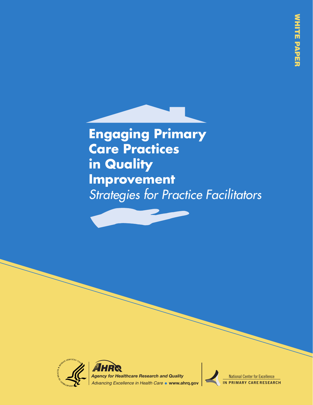**Engaging Primary Care Practices in Quality Improvement** *Strategies for Practice Facilitators*



National Center for Excellence **IN PRIMARY CARE RESEARCH**

National Center for Excellence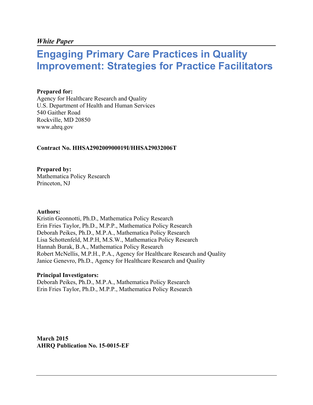#### *White Paper*

# **Engaging Primary Care Practices in Quality Improvement: Strategies for Practice Facilitators**

#### **Prepared for:**

Agency for Healthcare Research and Quality U.S. Department of Health and Human Services 540 Gaither Road Rockville, MD 20850 www.ahrq.gov

#### **Contract No. HHSA290200900019I/HHSA29032006T**

**Prepared by:** Mathematica Policy Research Princeton, NJ

#### **Authors:**

Kristin Geonnotti, Ph.D., Mathematica Policy Research Erin Fries Taylor, Ph.D., M.P.P., Mathematica Policy Research Deborah Peikes, Ph.D., M.P.A., Mathematica Policy Research Lisa Schottenfeld, M.P.H, M.S.W., Mathematica Policy Research Hannah Burak, B.A., Mathematica Policy Research Robert McNellis, M.P.H., P.A., Agency for Healthcare Research and Quality Janice Genevro, Ph.D., Agency for Healthcare Research and Quality

#### **Principal Investigators:**

Deborah Peikes, Ph.D., M.P.A., Mathematica Policy Research Erin Fries Taylor, Ph.D., M.P.P., Mathematica Policy Research

**March 2015 AHRQ Publication No. 15-0015-EF**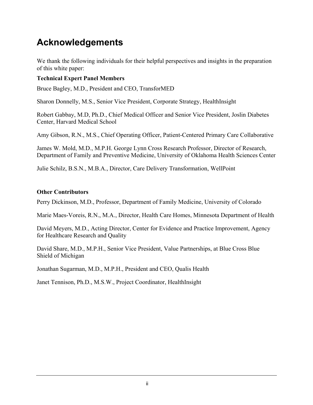# **Acknowledgements**

We thank the following individuals for their helpful perspectives and insights in the preparation of this white paper:

#### **Technical Expert Panel Members**

Bruce Bagley, M.D., President and CEO, TransforMED

Sharon Donnelly, M.S., Senior Vice President, Corporate Strategy, HealthInsight

Robert Gabbay, M.D, Ph.D., Chief Medical Officer and Senior Vice President, Joslin Diabetes Center, Harvard Medical School

Amy Gibson, R.N., M.S., Chief Operating Officer, Patient-Centered Primary Care Collaborative

James W. Mold, M.D., M.P.H. George Lynn Cross Research Professor, Director of Research, Department of Family and Preventive Medicine, University of Oklahoma Health Sciences Center

Julie Schilz, B.S.N., M.B.A., Director, Care Delivery Transformation, WellPoint

#### **Other Contributors**

Perry Dickinson, M.D., Professor, Department of Family Medicine, University of Colorado

Marie Maes-Voreis, R.N., M.A., Director, Health Care Homes, Minnesota Department of Health

David Meyers, M.D., Acting Director, Center for Evidence and Practice Improvement, Agency for Healthcare Research and Quality

David Share, M.D., M.P.H., Senior Vice President, Value Partnerships, at Blue Cross Blue Shield of Michigan

Jonathan Sugarman, M.D., M.P.H., President and CEO, Qualis Health

Janet Tennison, Ph.D., M.S.W., Project Coordinator, HealthInsight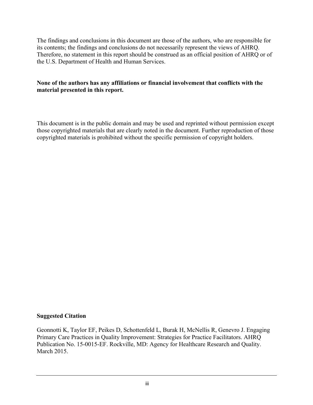The findings and conclusions in this document are those of the authors, who are responsible for its contents; the findings and conclusions do not necessarily represent the views of AHRQ. Therefore, no statement in this report should be construed as an official position of AHRQ or of the U.S. Department of Health and Human Services.

#### **None of the authors has any affiliations or financial involvement that conflicts with the material presented in this report.**

This document is in the public domain and may be used and reprinted without permission except those copyrighted materials that are clearly noted in the document. Further reproduction of those copyrighted materials is prohibited without the specific permission of copyright holders.

#### **Suggested Citation**

Geonnotti K, Taylor EF, Peikes D, Schottenfeld L, Burak H, McNellis R, Genevro J. Engaging Primary Care Practices in Quality Improvement: Strategies for Practice Facilitators. AHRQ Publication No. 15-0015-EF. Rockville, MD: Agency for Healthcare Research and Quality. March 2015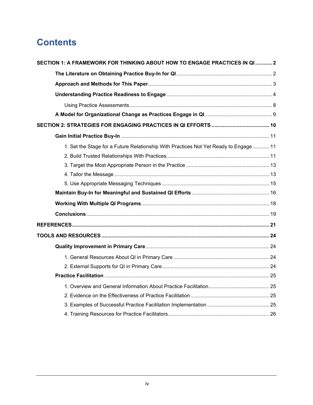# **Contents**

| SECTION 1: A FRAMEWORK FOR THINKING ABOUT HOW TO ENGAGE PRACTICES IN QI  2           |  |
|--------------------------------------------------------------------------------------|--|
|                                                                                      |  |
|                                                                                      |  |
|                                                                                      |  |
|                                                                                      |  |
|                                                                                      |  |
|                                                                                      |  |
|                                                                                      |  |
| 1. Set the Stage for a Future Relationship With Practices Not Yet Ready to Engage 11 |  |
|                                                                                      |  |
|                                                                                      |  |
|                                                                                      |  |
|                                                                                      |  |
|                                                                                      |  |
|                                                                                      |  |
|                                                                                      |  |
|                                                                                      |  |
|                                                                                      |  |
|                                                                                      |  |
|                                                                                      |  |
|                                                                                      |  |
|                                                                                      |  |
|                                                                                      |  |
|                                                                                      |  |
|                                                                                      |  |
|                                                                                      |  |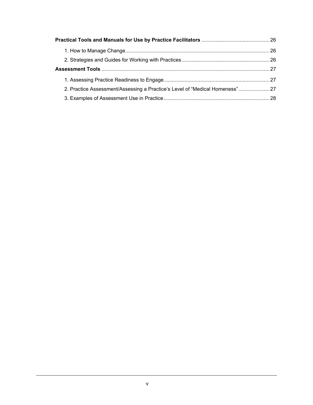| 27. Practice Assessment/Assessing a Practice's Level of "Medical Homeness" 27 |  |
|-------------------------------------------------------------------------------|--|
|                                                                               |  |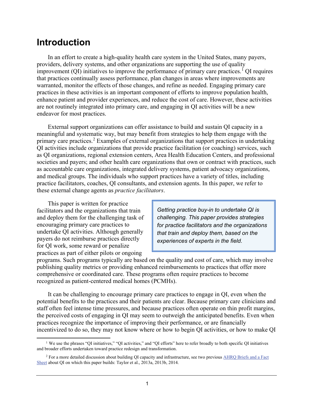# **Introduction**

In an effort to create a high-quality health care system in the United States, many payers, providers, delivery systems, and other organizations are supporting the use of quality improvement (QI) initiatives to improve the performance of primary care practices. [1](#page-6-0) QI requires that practices continually assess performance, plan changes in areas where improvements are warranted, monitor the effects of those changes, and refine as needed. Engaging primary care practices in these activities is an important component of efforts to improve population health, enhance patient and provider experiences, and reduce the cost of care. However, these activities are not routinely integrated into primary care, and engaging in QI activities will be a new endeavor for most practices.

External support organizations can offer assistance to build and sustain QI capacity in a meaningful and systematic way, but may benefit from strategies to help them engage with the primary care practices. [2](#page-6-1) Examples of external organizations that support practices in undertaking QI activities include organizations that provide practice facilitation (or coaching) services, such as QI organizations, regional extension centers, Area Health Education Centers, and professional societies and payers; and other health care organizations that own or contract with practices, such as accountable care organizations, integrated delivery systems, patient advocacy organizations, and medical groups. The individuals who support practices have a variety of titles, including practice facilitators, coaches, QI consultants, and extension agents. In this paper, we refer to these external change agents as *practice facilitators*.

This paper is written for practice facilitators and the organizations that train and deploy them for the challenging task of encouraging primary care practices to undertake QI activities. Although generally payers do not reimburse practices directly for QI work, some reward or penalize practices as part of either pilots or ongoing

*Getting practice buy-in to undertake QI is challenging. This paper provides strategies for practice facilitators and the organizations that train and deploy them, based on the experiences of experts in the field.*

programs. Such programs typically are based on the quality and cost of care, which may involve publishing quality metrics or providing enhanced reimbursements to practices that offer more comprehensive or coordinated care. These programs often require practices to become recognized as patient-centered medical homes (PCMHs).

It can be challenging to encourage primary care practices to engage in QI, even when the potential benefits to the practices and their patients are clear. Because primary care clinicians and staff often feel intense time pressures, and because practices often operate on thin profit margins, the perceived costs of engaging in QI may seem to outweigh the anticipated benefits. Even when practices recognize the importance of improving their performance, or are financially incentivized to do so, they may not know where or how to begin QI activities, or how to make QI

<span id="page-6-0"></span><sup>1</sup> We use the phrases "QI initiatives," "QI activities," and "QI efforts" here to refer broadly to both specific QI initiatives and broader efforts undertaken toward practice redesign and transformation.  $\overline{a}$ 

<span id="page-6-1"></span><sup>&</sup>lt;sup>2</sup> For a more detailed discussion about building QI capacity and infrastructure, see two previous AHRQ Briefs and a Fact [Sheet](http://www.ahrq.gov/professionals/prevention-chronic-care/improve/capacity-building/index.html) about QI on which this paper builds: Taylor et al., 2013a, 2013b, 2014.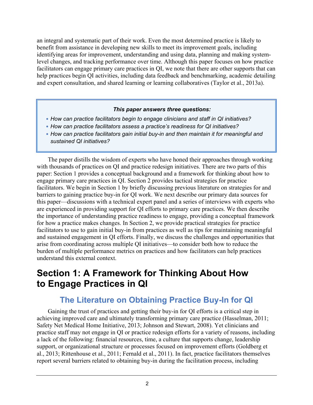an integral and systematic part of their work. Even the most determined practice is likely to benefit from assistance in developing new skills to meet its improvement goals, including identifying areas for improvement, understanding and using data, planning and making systemlevel changes, and tracking performance over time. Although this paper focuses on how practice facilitators can engage primary care practices in QI, we note that there are other supports that can help practices begin QI activities, including data feedback and benchmarking, academic detailing and expert consultation, and shared learning or learning collaboratives (Taylor et al., 2013a).

#### *This paper answers three questions:*

- *How can practice facilitators begin to engage clinicians and staff in QI initiatives?*
- *How can practice facilitators assess a practice's readiness for QI initiatives?*
- *How can practice facilitators gain initial buy-in and then maintain it for meaningful and sustained QI initiatives?*

The paper distills the wisdom of experts who have honed their approaches through working with thousands of practices on QI and practice redesign initiatives. There are two parts of this paper: Section 1 provides a conceptual background and a framework for thinking about how to engage primary care practices in QI. Section 2 provides tactical strategies for practice facilitators. We begin in Section 1 by briefly discussing previous literature on strategies for and barriers to gaining practice buy-in for QI work. We next describe our primary data sources for this paper—discussions with a technical expert panel and a series of interviews with experts who are experienced in providing support for QI efforts to primary care practices. We then describe the importance of understanding practice readiness to engage, providing a conceptual framework for how a practice makes changes. In Section 2, we provide practical strategies for practice facilitators to use to gain initial buy-in from practices as well as tips for maintaining meaningful and sustained engagement in QI efforts. Finally, we discuss the challenges and opportunities that arise from coordinating across multiple QI initiatives—to consider both how to reduce the burden of multiple performance metrics on practices and how facilitators can help practices understand this external context.

# <span id="page-7-0"></span>**Section 1: A Framework for Thinking About How to Engage Practices in QI**

# **The Literature on Obtaining Practice Buy-In for QI**

<span id="page-7-1"></span>Gaining the trust of practices and getting their buy-in for QI efforts is a critical step in achieving improved care and ultimately transforming primary care practice (Hasselman, 2011; Safety Net Medical Home Initiative, 2013; Johnson and Stewart, 2008). Yet clinicians and practice staff may not engage in QI or practice redesign efforts for a variety of reasons, including a lack of the following: financial resources, time, a culture that supports change, leadership support, or organizational structure or processes focused on improvement efforts (Goldberg et al., 2013; Rittenhouse et al., 2011; Fernald et al., 2011). In fact, practice facilitators themselves report several barriers related to obtaining buy-in during the facilitation process, including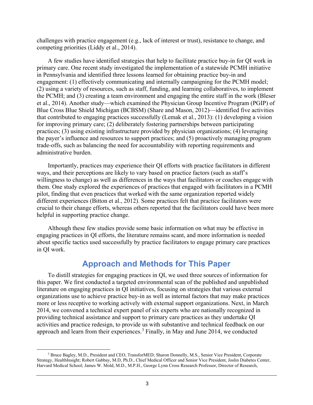challenges with practice engagement (e.g., lack of interest or trust), resistance to change, and competing priorities (Liddy et al., 2014).

A few studies have identified strategies that help to facilitate practice buy-in for QI work in primary care. One recent study investigated the implementation of a statewide PCMH initiative in Pennsylvania and identified three lessons learned for obtaining practice buy-in and engagement: (1) effectively communicating and internally campaigning for the PCMH model; (2) using a variety of resources, such as staff, funding, and learning collaboratives, to implement the PCMH; and (3) creating a team environment and engaging the entire staff in the work (Bleser et al., 2014). Another study—which examined the Physician Group Incentive Program (PGIP) of Blue Cross Blue Shield Michigan (BCBSM) (Share and Mason, 2012)—identified five activities that contributed to engaging practices successfully (Lemak et al., 2013): (1) developing a vision for improving primary care; (2) deliberately fostering partnerships between participating practices; (3) using existing infrastructure provided by physician organizations; (4) leveraging the payer's influence and resources to support practices; and (5) proactively managing program trade-offs, such as balancing the need for accountability with reporting requirements and administrative burden.

Importantly, practices may experience their QI efforts with practice facilitators in different ways, and their perceptions are likely to vary based on practice factors (such as staff's willingness to change) as well as differences in the ways that facilitators or coaches engage with them. One study explored the experiences of practices that engaged with facilitators in a PCMH pilot, finding that even practices that worked with the same organization reported widely different experiences (Bitton et al., 2012). Some practices felt that practice facilitators were crucial to their change efforts, whereas others reported that the facilitators could have been more helpful in supporting practice change.

Although these few studies provide some basic information on what may be effective in engaging practices in QI efforts, the literature remains scant, and more information is needed about specific tactics used successfully by practice facilitators to engage primary care practices in QI work.

## **Approach and Methods for This Paper**

<span id="page-8-0"></span>To distill strategies for engaging practices in QI, we used three sources of information for this paper. We first conducted a targeted environmental scan of the published and unpublished literature on engaging practices in QI initiatives, focusing on strategies that various external organizations use to achieve practice buy-in as well as internal factors that may make practices more or less receptive to working actively with external support organizations. Next, in March 2014, we convened a technical expert panel of six experts who are nationally recognized in providing technical assistance and support to primary care practices as they undertake QI activities and practice redesign, to provide us with substantive and technical feedback on our approach and learn from their experiences.<sup>[3](#page-8-1)</sup> Finally, in May and June 2014, we conducted

<span id="page-8-1"></span><sup>&</sup>lt;sup>3</sup> Bruce Bagley, M.D., President and CEO, TransforMED; Sharon Donnelly, M.S., Senior Vice President, Corporate Strategy, HealthInsight; Robert Gabbay, M.D, Ph.D., Chief Medical Officer and Senior Vice President, Joslin Diabetes Center, Harvard Medical School; James W. Mold, M.D., M.P.H., George Lynn Cross Research Professor, Director of Research,  $\overline{a}$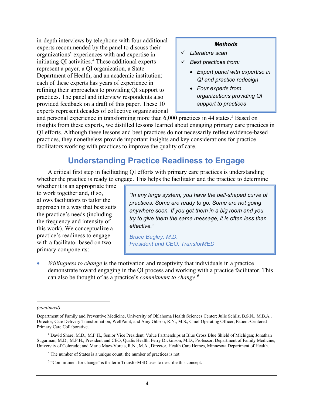in-depth interviews by telephone with four additional experts recommended by the panel to discuss their organizations' experiences with and expertise in initiating QI activities.<sup>[4](#page-9-1)</sup> These additional experts represent a payer, a QI organization, a State Department of Health, and an academic institution; each of these experts has years of experience in refining their approaches to providing QI support to practices. The panel and interview respondents also provided feedback on a draft of this paper. These 10 experts represent decades of collective organizational

#### *Methods*

- *Literature scan*
- *Best practices from:*
	- *Expert panel with expertise in QI and practice redesign*
	- *Four experts from organizations providing QI support to practices*

and personal experience in transforming more than 6,000 practices in 44 states. [5](#page-9-2) Based on insights from these experts, we distilled lessons learned about engaging primary care practices in QI efforts. Although these lessons and best practices do not necessarily reflect evidence-based practices, they nonetheless provide important insights and key considerations for practice facilitators working with practices to improve the quality of care.

## **Understanding Practice Readiness to Engage**

A critical first step in facilitating QI efforts with primary care practices is understanding whether the practice is ready to engage. This helps the facilitator and the practice to determine

whether it is an appropriate time to work together and, if so, allows facilitators to tailor the approach in a way that best suits the practice's needs (including the frequency and intensity of this work). We conceptualize a practice's readiness to engage with a facilitator based on two primary components:

<span id="page-9-0"></span>*"In any large system, you have the bell-shaped curve of practices. Some are ready to go. Some are not going anywhere soon. If you get them in a big room and you try to give them the same message, it is often less than effective."* 

*Bruce Bagley, M.D. President and CEO, TransforMED*

• *Willingness to change* is the motivation and receptivity that individuals in a practice demonstrate toward engaging in the QI process and working with a practice facilitator. This can also be thought of as a practice's *commitment to change*. [6](#page-9-3)

 $\overline{a}$ 

*<sup>(</sup>continued)*

Department of Family and Preventive Medicine, University of Oklahoma Health Sciences Center; Julie Schilz, B.S.N., M.B.A., Director, Care Delivery Transformation, WellPoint; and Amy Gibson, R.N., M.S., Chief Operating Officer, Patient-Centered Primary Care Collaborative.

<span id="page-9-3"></span><span id="page-9-2"></span><span id="page-9-1"></span><sup>4</sup> David Share, M.D., M.P.H., Senior Vice President, Value Partnerships at Blue Cross Blue Shield of Michigan; Jonathan Sugarman, M.D., M.P.H., President and CEO, Qualis Health; Perry Dickinson, M.D., Professor, Department of Family Medicine, University of Colorado; and Marie Maes-Voreis, R.N., M.A., Director, Health Care Homes, Minnesota Department of Health.

 $5$  The number of States is a unique count; the number of practices is not.

<sup>6</sup> "Commitment for change" is the term TransforMED uses to describe this concept.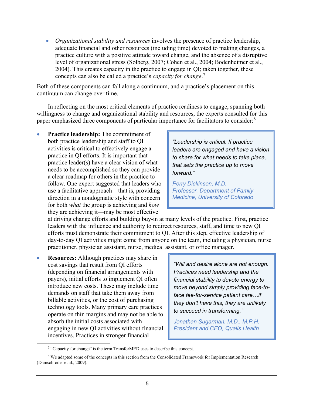• *Organizational stability and resources* involves the presence of practice leadership, adequate financial and other resources (including time) devoted to making changes, a practice culture with a positive attitude toward change, and the absence of a disruptive level of organizational stress (Solberg, 2007; Cohen et al., 2004; Bodenheimer et al., 2004). This creates capacity in the practice to engage in QI; taken together, these concepts can also be called a practice's *capacity for change*. [7](#page-10-0)

Both of these components can fall along a continuum, and a practice's placement on this continuum can change over time.

In reflecting on the most critical elements of practice readiness to engage, spanning both willingness to change and organizational stability and resources, the experts consulted for this paper emphasized three components of particular importance for facilitators to consider:<sup>[8](#page-10-1)</sup>

• **Practice leadership:** The commitment of both practice leadership and staff to QI activities is critical to effectively engage a practice in QI efforts. It is important that practice leader(s) have a clear vision of what needs to be accomplished so they can provide a clear roadmap for others in the practice to follow. One expert suggested that leaders who use a facilitative approach—that is, providing direction in a nondogmatic style with concern for both *what* the group is achieving and *how* they are achieving it—may be most effective

*"Leadership is critical. If practice leaders are engaged and have a vision to share for what needs to take place, that sets the practice up to move forward."*

*Perry Dickinson, M.D. Professor, Department of Family Medicine, University of Colorado*

at driving change efforts and building buy-in at many levels of the practice. First, practice leaders with the influence and authority to redirect resources, staff, and time to new QI efforts must demonstrate their commitment to QI. After this step, effective leadership of day-to-day QI activities might come from anyone on the team, including a physician, nurse practitioner, physician assistant, nurse, medical assistant, or office manager.

• **Resources:** Although practices may share in cost savings that result from QI efforts (depending on financial arrangements with payers), initial efforts to implement QI often introduce new costs. These may include time demands on staff that take them away from billable activities, or the cost of purchasing technology tools. Many primary care practices operate on thin margins and may not be able to absorb the initial costs associated with engaging in new QI activities without financial incentives. Practices in stronger financial

 $\overline{a}$ 

*"Will and desire alone are not enough. Practices need leadership and the financial stability to devote energy to move beyond simply providing face-toface fee-for-service patient care…if they don't have this, they are unlikely to succeed in transforming."*

*Jonathan Sugarman, M.D., M.P.H. President and CEO, Qualis Health*

<sup>7</sup> "Capacity for change" is the term TransforMED uses to describe this concept.

<span id="page-10-1"></span><span id="page-10-0"></span><sup>&</sup>lt;sup>8</sup> We adapted some of the concepts in this section from the Consolidated Framework for Implementation Research (Damschroder et al., 2009).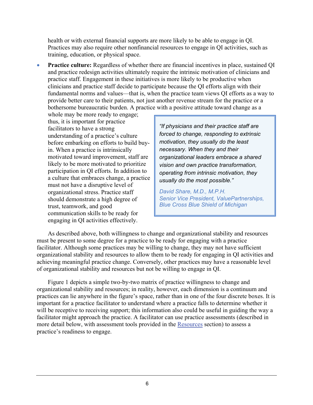health or with external financial supports are more likely to be able to engage in QI. Practices may also require other nonfinancial resources to engage in QI activities, such as training, education, or physical space.

• **Practice culture:** Regardless of whether there are financial incentives in place, sustained QI and practice redesign activities ultimately require the intrinsic motivation of clinicians and practice staff. Engagement in these initiatives is more likely to be productive when clinicians and practice staff decide to participate because the QI efforts align with their fundamental norms and values—that is, when the practice team views QI efforts as a way to provide better care to their patients, not just another revenue stream for the practice or a bothersome bureaucratic burden. A practice with a positive attitude toward change as a

whole may be more ready to engage; thus, it is important for practice facilitators to have a strong understanding of a practice's culture before embarking on efforts to build buyin. When a practice is intrinsically motivated toward improvement, staff are likely to be more motivated to prioritize participation in QI efforts. In addition to a culture that embraces change, a practice must not have a disruptive level of organizational stress. Practice staff should demonstrate a high degree of trust, teamwork, and good communication skills to be ready for engaging in QI activities effectively.

*"If physicians and their practice staff are forced to change, responding to extrinsic motivation, they usually do the least necessary. When they and their organizational leaders embrace a shared vision and own practice transformation, operating from intrinsic motivation, they usually do the most possible."*

*David Share, M.D., M.P.H. Senior Vice President, ValuePartnerships, Blue Cross Blue Shield of Michigan*

As described above, both willingness to change and organizational stability and resources must be present to some degree for a practice to be ready for engaging with a practice facilitator. Although some practices may be willing to change, they may not have sufficient organizational stability and resources to allow them to be ready for engaging in QI activities and achieving meaningful practice change. Conversely, other practices may have a reasonable level of organizational stability and resources but not be willing to engage in QI.

Figure 1 depicts a simple two-by-two matrix of practice willingness to change and organizational stability and resources; in reality, however, each dimension is a continuum and practices can lie anywhere in the figure's space, rather than in one of the four discrete boxes. It is important for a practice facilitator to understand where a practice falls to determine whether it will be receptive to receiving support; this information also could be useful in guiding the way a facilitator might approach the practice. A facilitator can use practice assessments (described in more detail below, with assessment tools provided in the [Resources](#page-29-0) section) to assess a practice's readiness to engage.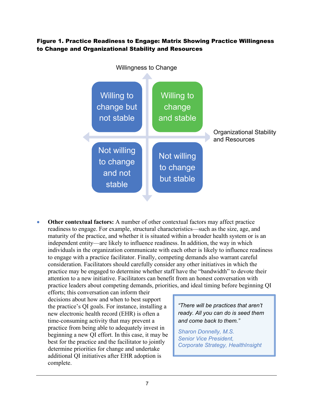### Figure 1. Practice Readiness to Engage: Matrix Showing Practice Willingness to Change and Organizational Stability and Resources



• **Other contextual factors:** A number of other contextual factors may affect practice readiness to engage. For example, structural characteristics—such as the size, age, and maturity of the practice, and whether it is situated within a broader health system or is an independent entity—are likely to influence readiness. In addition, the way in which individuals in the organization communicate with each other is likely to influence readiness to engage with a practice facilitator. Finally, competing demands also warrant careful consideration. Facilitators should carefully consider any other initiatives in which the practice may be engaged to determine whether staff have the "bandwidth" to devote their attention to a new initiative. Facilitators can benefit from an honest conversation with practice leaders about competing demands, priorities, and ideal timing before beginning QI

efforts; this conversation can inform their decisions about how and when to best support the practice's QI goals. For instance, installing a new electronic health record (EHR) is often a time-consuming activity that may prevent a practice from being able to adequately invest in beginning a new QI effort. In this case, it may be best for the practice and the facilitator to jointly determine priorities for change and undertake additional QI initiatives after EHR adoption is complete.

*"There will be practices that aren't ready. All you can do is seed them and come back to them."*

*Sharon Donnelly, M.S. Senior Vice President, Corporate Strategy, HealthInsight*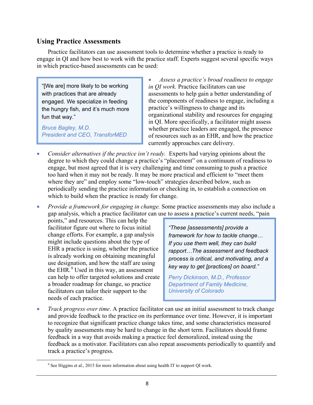### <span id="page-13-0"></span>**Using Practice Assessments**

Practice facilitators can use assessment tools to determine whether a practice is ready to engage in QI and how best to work with the practice staff. Experts suggest several specific ways in which practice-based assessments can be used:

"[We are] more likely to be working with practices that are already engaged. We specialize in feeding the hungry fish, and it's much more fun that way."

*Bruce Bagley, M.D. President and CEO, TransforMED*

• *Assess a practice's broad readiness to engage in QI work.* Practice facilitators can use assessments to help gain a better understanding of the components of readiness to engage, including a practice's willingness to change and its organizational stability and resources for engaging in QI. More specifically, a facilitator might assess whether practice leaders are engaged, the presence of resources such as an EHR, and how the practice currently approaches care delivery.

- *Consider alternatives if the practice isn't ready.* Experts had varying opinions about the degree to which they could change a practice's "placement" on a continuum of readiness to engage, but most agreed that it is very challenging and time consuming to push a practice too hard when it may not be ready. It may be more practical and efficient to "meet them where they are" and employ some "low-touch" strategies described below, such as periodically sending the practice information or checking in, to establish a connection on which to build when the practice is ready for change.
- *Provide a framework for engaging in change.* Some practice assessments may also include a gap analysis, which a practice facilitator can use to assess a practice's current needs, "pain

points," and resources. This can help the facilitator figure out where to focus initial change efforts. For example, a gap analysis might include questions about the type of EHR a practice is using, whether the practice is already working on obtaining meaningful use designation, and how the staff are using the EHR.<sup>[9](#page-13-1)</sup> Used in this way, an assessment can help to offer targeted solutions and create a broader roadmap for change, so practice facilitators can tailor their support to the needs of each practice.

<span id="page-13-1"></span> $\overline{a}$ 

*"These [assessments] provide a framework for how to tackle change… If you use them well, they can build rapport…The assessment and feedback process is critical, and motivating, and a key way to get [practices] on board."*

*Perry Dickinson, M.D., Professor Department of Family Medicine, University of Colorado*

• *Track progress over time*. A practice facilitator can use an initial assessment to track change and provide feedback to the practice on its performance over time. However, it is important to recognize that significant practice change takes time, and some characteristics measured by quality assessments may be hard to change in the short term. Facilitators should frame feedback in a way that avoids making a practice feel demoralized, instead using the feedback as a motivator. Facilitators can also repeat assessments periodically to quantify and track a practice's progress.

<sup>&</sup>lt;sup>9</sup> See Higgins et al., 2015 for more information about using health IT to support QI work.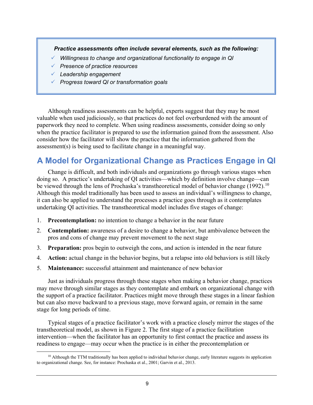*Practice assessments often include several elements, such as the following:*

- *Willingness to change and organizational functionality to engage in QI*
- *Presence of practice resources*
- *Leadership engagement*
- *Progress toward QI or transformation goals*

Although readiness assessments can be helpful, experts suggest that they may be most valuable when used judiciously, so that practices do not feel overburdened with the amount of paperwork they need to complete. When using readiness assessments, consider doing so only when the practice facilitator is prepared to use the information gained from the assessment. Also consider how the facilitator will show the practice that the information gathered from the assessment(s) is being used to facilitate change in a meaningful way.

# <span id="page-14-0"></span>**A Model for Organizational Change as Practices Engage in QI**

Change is difficult, and both individuals and organizations go through various stages when doing so. A practice's undertaking of QI activities—which by definition involve change—can be viewed through the lens of Prochaska's transtheoretical model of behavior change (1992).<sup>[10](#page-14-1)</sup> Although this model traditionally has been used to assess an individual's willingness to change, it can also be applied to understand the processes a practice goes through as it contemplates undertaking QI activities. The transtheoretical model includes five stages of change:

- 1. **Precontemplation:** no intention to change a behavior in the near future
- 2. **Contemplation:** awareness of a desire to change a behavior, but ambivalence between the pros and cons of change may prevent movement to the next stage
- 3. **Preparation:** pros begin to outweigh the cons, and action is intended in the near future
- 4. **Action:** actual change in the behavior begins, but a relapse into old behaviors is still likely
- 5. **Maintenance:** successful attainment and maintenance of new behavior

Just as individuals progress through these stages when making a behavior change, practices may move through similar stages as they contemplate and embark on organizational change with the support of a practice facilitator. Practices might move through these stages in a linear fashion but can also move backward to a previous stage, move forward again, or remain in the same stage for long periods of time.

Typical stages of a practice facilitator's work with a practice closely mirror the stages of the transtheoretical model, as shown in Figure 2. The first stage of a practice facilitation intervention—when the facilitator has an opportunity to first contact the practice and assess its readiness to engage—may occur when the practice is in either the precontemplation or

<span id="page-14-1"></span> $10$  Although the TTM traditionally has been applied to individual behavior change, early literature suggests its application to organizational change. See, for instance: Prochaska et al., 2001; Garvin et al., 2013.  $\overline{a}$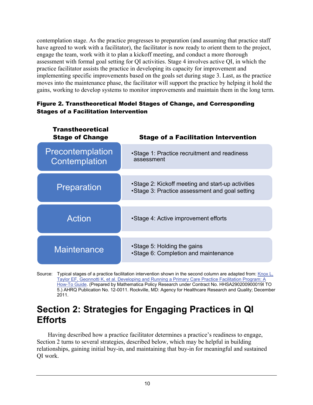contemplation stage. As the practice progresses to preparation (and assuming that practice staff have agreed to work with a facilitator), the facilitator is now ready to orient them to the project, engage the team, work with it to plan a kickoff meeting, and conduct a more thorough assessment with formal goal setting for QI activities. Stage 4 involves active QI, in which the practice facilitator assists the practice in developing its capacity for improvement and implementing specific improvements based on the goals set during stage 3. Last, as the practice moves into the maintenance phase, the facilitator will support the practice by helping it hold the gains, working to develop systems to monitor improvements and maintain them in the long term.

### Figure 2. Transtheoretical Model Stages of Change, and Corresponding Stages of a Facilitation Intervention

| <b>Transtheoretical</b><br><b>Stage of Change</b> | <b>Stage of a Facilitation Intervention</b>                                                         |
|---------------------------------------------------|-----------------------------------------------------------------------------------------------------|
| Precontemplation<br>Contemplation                 | •Stage 1: Practice recruitment and readiness<br>assessment                                          |
| Preparation                                       | •Stage 2: Kickoff meeting and start-up activities<br>•Stage 3: Practice assessment and goal setting |
| <b>Action</b>                                     | •Stage 4: Active improvement efforts                                                                |
| <b>Maintenance</b>                                | •Stage 5: Holding the gains<br>•Stage 6: Completion and maintenance                                 |

Source: Typical stages of a practice facilitation intervention shown in the second column are adapted from: [Knox L,](http://pcmh.ahrq.gov/sites/default/files/attachments/Developing_and_Running_a_Primary_Care_Practice_Facilitation_Program.pdf)  [Taylor EF, Geonnotti K, et al. Developing and Running a Primary Care Practice Facilitation Program: A](http://pcmh.ahrq.gov/sites/default/files/attachments/Developing_and_Running_a_Primary_Care_Practice_Facilitation_Program.pdf)  [How-To Guide.](http://pcmh.ahrq.gov/sites/default/files/attachments/Developing_and_Running_a_Primary_Care_Practice_Facilitation_Program.pdf) (Prepared by Mathematica Policy Research under Contract No. HHSA290200900019I TO 5.) AHRQ Publication No. 12-0011. Rockville, MD: Agency for Healthcare Research and Quality; December 2011.

# <span id="page-15-0"></span>**Section 2: Strategies for Engaging Practices in QI Efforts**

Having described how a practice facilitator determines a practice's readiness to engage, Section 2 turns to several strategies, described below, which may be helpful in building relationships, gaining initial buy-in, and maintaining that buy-in for meaningful and sustained QI work.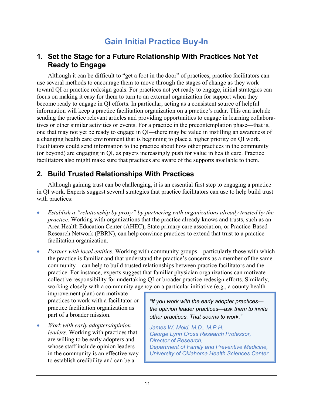# **Gain Initial Practice Buy-In**

## <span id="page-16-1"></span><span id="page-16-0"></span>**1. Set the Stage for a Future Relationship With Practices Not Yet Ready to Engage**

Although it can be difficult to "get a foot in the door" of practices, practice facilitators can use several methods to encourage them to move through the stages of change as they work toward QI or practice redesign goals. For practices not yet ready to engage, initial strategies can focus on making it easy for them to turn to an external organization for support when they become ready to engage in QI efforts. In particular, acting as a consistent source of helpful information will keep a practice facilitation organization on a practice's radar. This can include sending the practice relevant articles and providing opportunities to engage in learning collaboratives or other similar activities or events. For a practice in the precontemplation phase—that is, one that may not yet be ready to engage in QI—there may be value in instilling an awareness of a changing health care environment that is beginning to place a higher priority on QI work. Facilitators could send information to the practice about how other practices in the community (or beyond) are engaging in QI, as payers increasingly push for value in health care. Practice facilitators also might make sure that practices are aware of the supports available to them.

## <span id="page-16-2"></span>**2. Build Trusted Relationships With Practices**

Although gaining trust can be challenging, it is an essential first step to engaging a practice in QI work. Experts suggest several strategies that practice facilitators can use to help build trust with practices:

- *Establish a "relationship by proxy" by partnering with organizations already trusted by the practice*. Working with organizations that the practice already knows and trusts, such as an Area Health Education Center (AHEC), State primary care association, or Practice-Based Research Network (PBRN), can help convince practices to extend that trust to a practice facilitation organization.
- *Partner with local entities.* Working with community groups—particularly those with which the practice is familiar and that understand the practice's concerns as a member of the same community—can help to build trusted relationships between practice facilitators and the practice. For instance, experts suggest that familiar physician organizations can motivate collective responsibility for undertaking QI or broader practice redesign efforts. Similarly, working closely with a community agency on a particular initiative (e.g., a county health

improvement plan) can motivate practices to work with a facilitator or practice facilitation organization as part of a broader mission.

• *Work with early adopters/opinion leaders.* Working with practices that are willing to be early adopters and whose staff include opinion leaders in the community is an effective way to establish credibility and can be a

*"If you work with the early adopter practices the opinion leader practices—ask them to invite other practices. That seems to work."* 

*James W. Mold, M.D., M.P.H. George Lynn Cross Research Professor, Director of Research, Department of Family and Preventive Medicine, University of Oklahoma Health Sciences Center*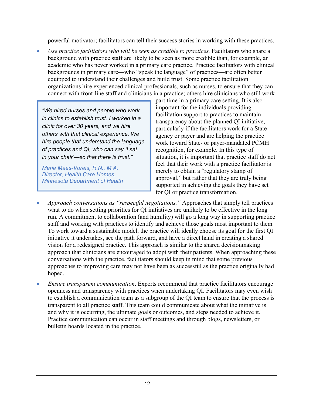powerful motivator; facilitators can tell their success stories in working with these practices.

• *Use practice facilitators who will be seen as credible to practices.* Facilitators who share a background with practice staff are likely to be seen as more credible than, for example, an academic who has never worked in a primary care practice. Practice facilitators with clinical backgrounds in primary care—who "speak the language" of practices—are often better equipped to understand their challenges and build trust. Some practice facilitation organizations hire experienced clinical professionals, such as nurses, to ensure that they can connect with front-line staff and clinicians in a practice; others hire clinicians who still work

*"We hired nurses and people who work in clinics to establish trust. I worked in a clinic for over 30 years, and we hire others with that clinical experience. We hire people that understand the language of practices and QI, who can say 'I sat in your chair'—so that there is trust."*

*Marie Maes-Voreis, R.N., M.A. Director, Health Care Homes, Minnesota Department of Health*

part time in a primary care setting. It is also important for the individuals providing facilitation support to practices to maintain transparency about the planned QI initiative, particularly if the facilitators work for a State agency or payer and are helping the practice work toward State- or payer-mandated PCMH recognition, for example. In this type of situation, it is important that practice staff do not feel that their work with a practice facilitator is merely to obtain a "regulatory stamp of approval," but rather that they are truly being supported in achieving the goals they have set for QI or practice transformation.

- *Approach conversations as "respectful negotiations."* Approaches that simply tell practices what to do when setting priorities for QI initiatives are unlikely to be effective in the long run. A commitment to collaboration (and humility) will go a long way in supporting practice staff and working with practices to identify and achieve those goals most important to them. To work toward a sustainable model, the practice will ideally choose its goal for the first QI initiative it undertakes, see the path forward, and have a direct hand in creating a shared vision for a redesigned practice. This approach is similar to the shared decisionmaking approach that clinicians are encouraged to adopt with their patients. When approaching these conversations with the practice, facilitators should keep in mind that some previous approaches to improving care may not have been as successful as the practice originally had hoped.
- *Ensure transparent communication*. Experts recommend that practice facilitators encourage openness and transparency with practices when undertaking QI. Facilitators may even wish to establish a communication team as a subgroup of the QI team to ensure that the process is transparent to all practice staff. This team could communicate about what the initiative is and why it is occurring, the ultimate goals or outcomes, and steps needed to achieve it. Practice communication can occur in staff meetings and through blogs, newsletters, or bulletin boards located in the practice.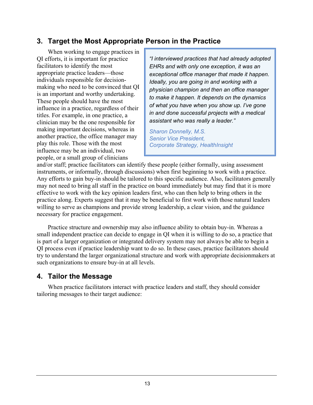## <span id="page-18-0"></span>**3. Target the Most Appropriate Person in the Practice**

When working to engage practices in QI efforts, it is important for practice facilitators to identify the most appropriate practice leaders—those individuals responsible for decisionmaking who need to be convinced that QI is an important and worthy undertaking. These people should have the most influence in a practice, regardless of their titles. For example, in one practice, a clinician may be the one responsible for making important decisions, whereas in another practice, the office manager may play this role. Those with the most influence may be an individual, two people, or a small group of clinicians

*"I interviewed practices that had already adopted EHRs and with only one exception, it was an exceptional office manager that made it happen. Ideally, you are going in and working with a physician champion and then an office manager to make it happen. It depends on the dynamics of what you have when you show up. I've gone in and done successful projects with a medical assistant who was really a leader."*

*Sharon Donnelly, M.S. Senior Vice President, Corporate Strategy, HealthInsight*

and/or staff; practice facilitators can identify these people (either formally, using assessment instruments, or informally, through discussions) when first beginning to work with a practice. Any efforts to gain buy-in should be tailored to this specific audience. Also, facilitators generally may not need to bring all staff in the practice on board immediately but may find that it is more effective to work with the key opinion leaders first, who can then help to bring others in the practice along. Experts suggest that it may be beneficial to first work with those natural leaders willing to serve as champions and provide strong leadership, a clear vision, and the guidance necessary for practice engagement.

Practice structure and ownership may also influence ability to obtain buy-in. Whereas a small independent practice can decide to engage in QI when it is willing to do so, a practice that is part of a larger organization or integrated delivery system may not always be able to begin a QI process even if practice leadership want to do so. In these cases, practice facilitators should try to understand the larger organizational structure and work with appropriate decisionmakers at such organizations to ensure buy-in at all levels.

## <span id="page-18-1"></span>**4. Tailor the Message**

When practice facilitators interact with practice leaders and staff, they should consider tailoring messages to their target audience: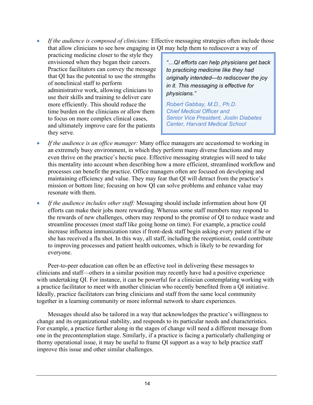• *If the audience is composed of clinicians:* Effective messaging strategies often include those that allow clinicians to see how engaging in QI may help them to rediscover a way of

practicing medicine closer to the style they envisioned when they began their careers. Practice facilitators can convey the message that QI has the potential to use the strengths of nonclinical staff to perform administrative work, allowing clinicians to use their skills and training to deliver care more efficiently. This should reduce the time burden on the clinicians or allow them to focus on more complex clinical cases, and ultimately improve care for the patients they serve.

*"…QI efforts can help physicians get back to practicing medicine like they had originally intended—to rediscover the joy in it. This messaging is effective for physicians."* 

*Robert Gabbay, M.D., Ph.D. Chief Medical Officer and Senior Vice President, Joslin Diabetes Center, Harvard Medical School*

- *If the audience is an office manager:* Many office managers are accustomed to working in an extremely busy environment, in which they perform many diverse functions and may even thrive on the practice's hectic pace. Effective messaging strategies will need to take this mentality into account when describing how a more efficient, streamlined workflow and processes can benefit the practice. Office managers often are focused on developing and maintaining efficiency and value. They may fear that QI will detract from the practice's mission or bottom line; focusing on how QI can solve problems and enhance value may resonate with them.
- *If the audience includes other staff:* Messaging should include information about how QI efforts can make their jobs more rewarding. Whereas some staff members may respond to the rewards of new challenges, others may respond to the promise of QI to reduce waste and streamline processes (most staff like going home on time). For example, a practice could increase influenza immunization rates if front-desk staff begin asking every patient if he or she has received a flu shot. In this way, all staff, including the receptionist, could contribute to improving processes and patient health outcomes, which is likely to be rewarding for everyone.

Peer-to-peer education can often be an effective tool in delivering these messages to clinicians and staff—others in a similar position may recently have had a positive experience with undertaking QI. For instance, it can be powerful for a clinician contemplating working with a practice facilitator to meet with another clinician who recently benefited from a QI initiative. Ideally, practice facilitators can bring clinicians and staff from the same local community together in a learning community or more informal network to share experiences.

Messages should also be tailored in a way that acknowledges the practice's willingness to change and its organizational stability, and responds to its particular needs and characteristics. For example, a practice further along in the stages of change will need a different message from one in the precontemplation stage. Similarly, if a practice is facing a particularly challenging or thorny operational issue, it may be useful to frame QI support as a way to help practice staff improve this issue and other similar challenges.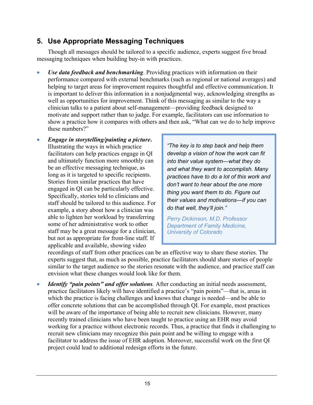## <span id="page-20-0"></span>**5. Use Appropriate Messaging Techniques**

Though all messages should be tailored to a specific audience, experts suggest five broad messaging techniques when building buy-in with practices.

- *Use data feedback and benchmarking*. Providing practices with information on their performance compared with external benchmarks (such as regional or national averages) and helping to target areas for improvement requires thoughtful and effective communication. It is important to deliver this information in a nonjudgmental way, acknowledging strengths as well as opportunities for improvement. Think of this messaging as similar to the way a clinician talks to a patient about self-management—providing feedback designed to motivate and support rather than to judge. For example, facilitators can use information to show a practice how it compares with others and then ask, "What can we do to help improve these numbers?"
- *Engage in storytelling/painting a picture***.** Illustrating the ways in which practice facilitators can help practices engage in QI and ultimately function more smoothly can be an effective messaging technique, as long as it is targeted to specific recipients. Stories from similar practices that have engaged in QI can be particularly effective. Specifically, stories told to clinicians and staff should be tailored to this audience. For example, a story about how a clinician was able to lighten her workload by transferring some of her administrative work to other staff may be a great message for a clinician, but not as appropriate for front-line staff. If applicable and available, showing video

*"The key is to step back and help them develop a vision of how the work can fit into their value system—what they do and what they want to accomplish. Many practices have to do a lot of this work and don't want to hear about the one more thing you want them to do. Figure out their values and motivations—if you can do that well, they'll join."* 

*Perry Dickinson, M.D. Professor Department of Family Medicine, University of Colorado*

recordings of staff from other practices can be an effective way to share these stories. The experts suggest that, as much as possible, practice facilitators should share stories of people similar to the target audience so the stories resonate with the audience, and practice staff can envision what these changes would look like for them.

• *Identify "pain points" and offer solutions.* After conducting an initial needs assessment, practice facilitators likely will have identified a practice's "pain points"—that is, areas in which the practice is facing challenges and knows that change is needed—and be able to offer concrete solutions that can be accomplished through QI. For example, most practices will be aware of the importance of being able to recruit new clinicians. However, many recently trained clinicians who have been taught to practice using an EHR may avoid working for a practice without electronic records. Thus, a practice that finds it challenging to recruit new clinicians may recognize this pain point and be willing to engage with a facilitator to address the issue of EHR adoption. Moreover, successful work on the first QI project could lead to additional redesign efforts in the future.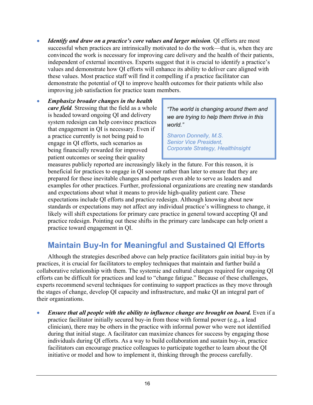- *Identify and draw on a practice's core values and larger mission.* QI efforts are most successful when practices are intrinsically motivated to do the work—that is, when they are convinced the work is necessary for improving care delivery and the health of their patients, independent of external incentives. Experts suggest that it is crucial to identify a practice's values and demonstrate how QI efforts will enhance its ability to deliver care aligned with these values. Most practice staff will find it compelling if a practice facilitator can demonstrate the potential of QI to improve health outcomes for their patients while also improving job satisfaction for practice team members.
- *Emphasize broader changes in the health care field.* Stressing that the field as a whole is headed toward ongoing QI and delivery system redesign can help convince practices that engagement in QI is necessary. Even if a practice currently is not being paid to engage in QI efforts, such scenarios as being financially rewarded for improved patient outcomes or seeing their quality

*"The world is changing around them and we are trying to help them thrive in this world."*

*Sharon Donnelly, M.S. Senior Vice President, Corporate Strategy, HealthInsight*

measures publicly reported are increasingly likely in the future. For this reason, it is beneficial for practices to engage in QI sooner rather than later to ensure that they are prepared for these inevitable changes and perhaps even able to serve as leaders and examples for other practices. Further, professional organizations are creating new standards and expectations about what it means to provide high-quality patient care. These expectations include QI efforts and practice redesign. Although knowing about new standards or expectations may not affect any individual practice's willingness to change, it likely will shift expectations for primary care practice in general toward accepting QI and practice redesign. Pointing out these shifts in the primary care landscape can help orient a practice toward engagement in QI.

# <span id="page-21-0"></span>**Maintain Buy-In for Meaningful and Sustained QI Efforts**

Although the strategies described above can help practice facilitators gain initial buy-in by practices, it is crucial for facilitators to employ techniques that maintain and further build a collaborative relationship with them. The systemic and cultural changes required for ongoing QI efforts can be difficult for practices and lead to "change fatigue." Because of these challenges, experts recommend several techniques for continuing to support practices as they move through the stages of change, develop QI capacity and infrastructure, and make QI an integral part of their organizations.

• *Ensure that all people with the ability to influence change are brought on board.* Even if a practice facilitator initially secured buy-in from those with formal power (e.g., a lead clinician), there may be others in the practice with informal power who were not identified during that initial stage. A facilitator can maximize chances for success by engaging those individuals during QI efforts. As a way to build collaboration and sustain buy-in, practice facilitators can encourage practice colleagues to participate together to learn about the QI initiative or model and how to implement it, thinking through the process carefully.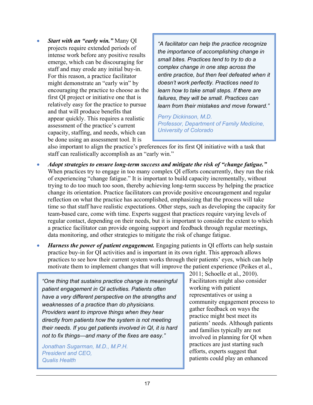• *Start with an "early win."* Many QI projects require extended periods of intense work before any positive results emerge, which can be discouraging for staff and may erode any initial buy-in. For this reason, a practice facilitator might demonstrate an "early win" by encouraging the practice to choose as the first QI project or initiative one that is relatively easy for the practice to pursue and that will produce benefits that appear quickly. This requires a realistic assessment of the practice's current capacity, staffing, and needs, which can be done using an assessment tool. It is

*"A facilitator can help the practice recognize the importance of accomplishing change in small bites. Practices tend to try to do a complex change in one step across the entire practice, but then feel defeated when it doesn't work perfectly. Practices need to learn how to take small steps. If there are failures, they will be small. Practices can learn from their mistakes and move forward."*

*Perry Dickinson, M.D. Professor, Department of Family Medicine, University of Colorado*

also important to align the practice's preferences for its first QI initiative with a task that staff can realistically accomplish as an "early win."

- *Adopt strategies to ensure long-term success and mitigate the risk of "change fatigue."* When practices try to engage in too many complex QI efforts concurrently, they run the risk of experiencing "change fatigue." It is important to build capacity incrementally, without trying to do too much too soon, thereby achieving long-term success by helping the practice change its orientation. Practice facilitators can provide positive encouragement and regular reflection on what the practice has accomplished, emphasizing that the process will take time so that staff have realistic expectations. Other steps, such as developing the capacity for team-based care, come with time. Experts suggest that practices require varying levels of regular contact, depending on their needs, but it is important to consider the extent to which a practice facilitator can provide ongoing support and feedback through regular meetings, data monitoring, and other strategies to mitigate the risk of change fatigue.
- *Harness the power of patient engagement.* Engaging patients in QI efforts can help sustain practice buy-in for QI activities and is important in its own right. This approach allows practices to see how their current system works through their patients' eyes, which can help motivate them to implement changes that will improve the patient experience (Peikes et al.,

*"One thing that sustains practice change is meaningful patient engagement in QI activities. Patients often have a very different perspective on the strengths and weaknesses of a practice than do physicians. Providers want to improve things when they hear directly from patients how the system is not meeting their needs. If you get patients involved in QI, it is hard not to fix things—and many of the fixes are easy."*

*Jonathan Sugarman, M.D., M.P.H. President and CEO, Qualis Health*

2011; Schoelle et al., 2010). Facilitators might also consider working with patient representatives or using a community engagement process to gather feedback on ways the practice might best meet its patients' needs. Although patients and families typically are not involved in planning for QI when practices are just starting such efforts, experts suggest that patients could play an enhanced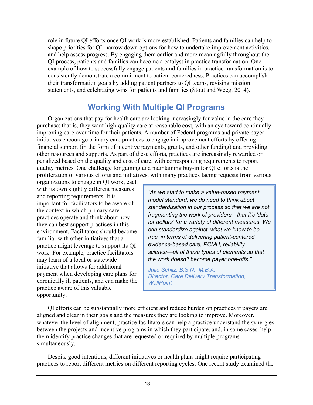role in future QI efforts once QI work is more established. Patients and families can help to shape priorities for QI, narrow down options for how to undertake improvement activities, and help assess progress. By engaging them earlier and more meaningfully throughout the QI process, patients and families can become a catalyst in practice transformation. One example of how to successfully engage patients and families in practice transformation is to consistently demonstrate a commitment to patient centeredness. Practices can accomplish their transformation goals by adding patient partners to QI teams, revising mission statements, and celebrating wins for patients and families (Stout and Weeg, 2014).

## **Working With Multiple QI Programs**

<span id="page-23-0"></span>Organizations that pay for health care are looking increasingly for value in the care they purchase: that is, they want high-quality care at reasonable cost, with an eye toward continually improving care over time for their patients. A number of Federal programs and private payer initiatives encourage primary care practices to engage in improvement efforts by offering financial support (in the form of incentive payments, grants, and other funding) and providing other resources and supports. As part of these efforts, practices are increasingly rewarded or penalized based on the quality and cost of care, with corresponding requirements to report quality metrics. One challenge for gaining and maintaining buy-in for QI efforts is the proliferation of various efforts and initiatives, with many practices facing requests from various

organizations to engage in QI work, each with its own slightly different measures and reporting requirements. It is important for facilitators to be aware of the context in which primary care practices operate and think about how they can best support practices in this environment. Facilitators should become familiar with other initiatives that a practice might leverage to support its QI work. For example, practice facilitators may learn of a local or statewide initiative that allows for additional payment when developing care plans for chronically ill patients, and can make the practice aware of this valuable opportunity.

*"As we start to make a value-based payment model standard, we do need to think about standardization in our process so that we are not fragmenting the work of providers—that it's 'data for dollars' for a variety of different measures. We can standardize against 'what we know to be true' in terms of delivering patient-centered evidence-based care, PCMH, reliability science—all of these types of elements so that the work doesn't become payer one-offs."* 

*Julie Schilz, B.S.N., M.B.A. Director, Care Delivery Transformation, WellPoint*

QI efforts can be substantially more efficient and reduce burden on practices if payers are aligned and clear in their goals and the measures they are looking to improve. Moreover, whatever the level of alignment, practice facilitators can help a practice understand the synergies between the projects and incentive programs in which they participate, and, in some cases, help them identify practice changes that are requested or required by multiple programs simultaneously.

Despite good intentions, different initiatives or health plans might require participating practices to report different metrics on different reporting cycles. One recent study examined the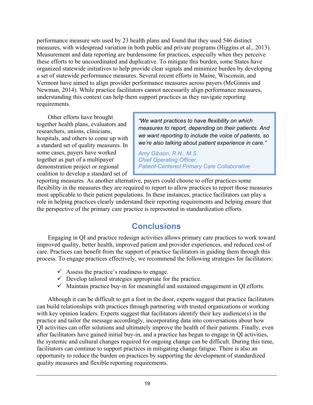performance measure sets used by 23 health plans and found that they used 546 distinct measures, with widespread variation in both public and private programs (Higgins et al., 2013). Measurement and data reporting are burdensome for practices, especially when they perceive these efforts to be uncoordinated and duplicative. To mitigate this burden, some States have organized statewide initiatives to help provide clear signals and minimize burden by developing a set of statewide performance measures. Several recent efforts in Maine, Wisconsin, and Vermont have aimed to align provider performance measures across payers (McGinnis and Newman, 2014). While practice facilitators cannot necessarily align performance measures, understanding this context can help them support practices as they navigate reporting requirements.

Other efforts have brought together health plans, evaluators and researchers, unions, clinicians, hospitals, and others to come up with a standard set of quality measures. In some cases, payers have worked together as part of a multipayer demonstration project or regional coalition to develop a standard set of

*"We want practices to have flexibility on which measures to report, depending on their patients. And we want reporting to include the voice of patients, so we're also talking about patient experience in care."*

*Amy Gibson, R.N., M.S. Chief Operating Officer, Patient-Centered Primary Care Collaborative*

reporting measures. As another alternative, payers could choose to offer practices some flexibility in the measures they are required to report to allow practices to report those measures most applicable to their patient populations. In these instances, practice facilitators can play a role in helping practices clearly understand their reporting requirements and helping ensure that the perspective of the primary care practice is represented in standardization efforts.

# **Conclusions**

<span id="page-24-0"></span>Engaging in QI and practice redesign activities allows primary care practices to work toward improved quality, better health, improved patient and provider experiences, and reduced cost of care. Practices can benefit from the support of practice facilitators in guiding them through this process. To engage practices effectively, we recommend the following strategies for facilitators:

- $\checkmark$  Assess the practice's readiness to engage.
- $\checkmark$  Develop tailored strategies appropriate for the practice.
- $\checkmark$  Maintain practice buy-in for meaningful and sustained engagement in QI efforts.

Although it can be difficult to get a foot in the door, experts suggest that practice facilitators can build relationships with practices through partnering with trusted organizations or working with key opinion leaders. Experts suggest that facilitators identify their key audience(s) in the practice and tailor the message accordingly, incorporating data into conversations about how QI activities can offer solutions and ultimately improve the health of their patients. Finally, even after facilitators have gained initial buy-in, and a practice has begun to engage in QI activities, the systemic and cultural changes required for ongoing change can be difficult. During this time, facilitators can continue to support practices in mitigating change fatigue. There is also an opportunity to reduce the burden on practices by supporting the development of standardized quality measures and flexible reporting requirements.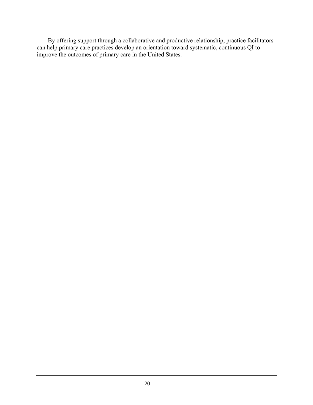By offering support through a collaborative and productive relationship, practice facilitators can help primary care practices develop an orientation toward systematic, continuous QI to improve the outcomes of primary care in the United States.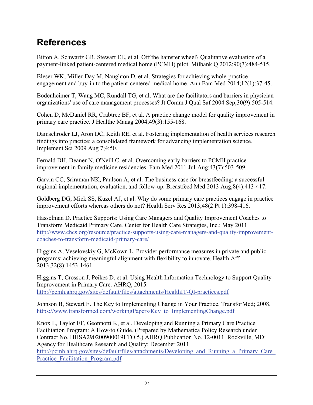# <span id="page-26-0"></span>**References**

Bitton A, Schwartz GR, Stewart EE, et al. Off the hamster wheel? Qualitative evaluation of a payment-linked patient-centered medical home (PCMH) pilot. Milbank Q 2012;90(3);484-515.

Bleser WK, Miller-Day M, Naughton D, et al. Strategies for achieving whole-practice engagement and buy-in to the patient-centered medical home*.* Ann Fam Med 2014;12(1):37-45.

Bodenheimer T, Wang MC, Rundall TG, et al. What are the facilitators and barriers in physician organizations' use of care management processes? Jt Comm J Qual Saf 2004 Sep;30(9):505-514.

Cohen D, McDaniel RR, Crabtree BF, et al. A practice change model for quality improvement in primary care practice. J Healthc Manag 2004;49(3):155-168.

Damschroder LJ, Aron DC, Keith RE, et al. Fostering implementation of health services research findings into practice: a consolidated framework for advancing implementation science. Implement Sci 2009 Aug 7;4:50.

Fernald DH, Deaner N, O'Neill C, et al. Overcoming early barriers to PCMH practice improvement in family medicine residencies. Fam Med 2011 Jul-Aug;43(7):503-509.

Garvin CC, Sriraman NK, Paulson A, et al. The business case for breastfeeding: a successful regional implementation, evaluation, and follow-up. Breastfeed Med 2013 Aug;8(4):413-417.

Goldberg DG, Mick SS, Kuzel AJ, et al. Why do some primary care practices engage in practice improvement efforts whereas others do not? Health Serv Res 2013;48(2 Pt 1):398-416.

Hasselman D. Practice Supports: Using Care Managers and Quality Improvement Coaches to Transform Medicaid Primary Care*.* Center for Health Care Strategies, Inc.; May 2011. [http://www.chcs.org/resource/practice-supports-using-care-managers-and-quality-improvement](http://www.chcs.org/media/Practice_Coach_TA_Brief_051211_Final.pdf.)[coaches-to-transform-medicaid-primary-care/](http://www.chcs.org/media/Practice_Coach_TA_Brief_051211_Final.pdf.)

Higgins A, Veselovskiy G, McKown L. Provider performance measures in private and public programs: achieving meaningful alignment with flexibility to innovate. Health Aff 2013;32(8):1453-1461.

Higgins T, Crosson J, Peikes D, et al. Using Health Information Technology to Support Quality Improvement in Primary Care. AHRQ, 2015. <http://pcmh.ahrq.gov/sites/default/files/attachments/HealthIT-QI-practices.pdf>

Johnson B, Stewart E. The Key to Implementing Change in Your Practice. TransforMed; 2008. [https://www.transformed.com/workingPapers/Key\\_to\\_ImplementingChange.pdf](https://www.transformed.com/workingPapers/Key_to_ImplementingChange.pdf)

Knox L, Taylor EF, Geonnotti K, et al. Developing and Running a Primary Care Practice Facilitation Program: A How-to Guide. (Prepared by Mathematica Policy Research under Contract No. HHSA290200900019I TO 5.) AHRQ Publication No. 12-0011. Rockville, MD: Agency for Healthcare Research and Quality; December 2011.

http://pcmh.ahrq.gov/sites/default/files/attachments/Developing and Running a Primary Care [Practice\\_Facilitation\\_Program.pdf](http://pcmh.ahrq.gov/sites/default/files/attachments/Developing_and_Running_a_Primary_Care_Practice_Facilitation_Program.pdf)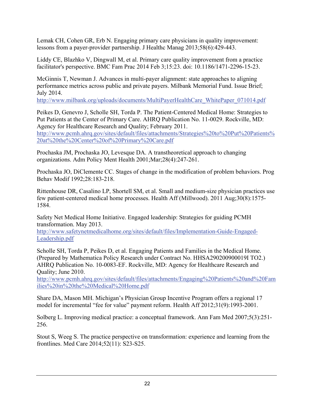Lemak CH, Cohen GR, Erb N. Engaging primary care physicians in quality improvement: lessons from a payer-provider partnership. J Healthc Manag 2013;58(6):429-443.

Liddy CE, Blazhko V, Dingwall M, et al. Primary care quality improvement from a practice facilitator's perspective. BMC Fam Prac 2014 Feb 3;15:23. doi: 10.1186/1471-2296-15-23.

McGinnis T, Newman J. Advances in multi-payer alignment: state approaches to aligning performance metrics across public and private payers. Milbank Memorial Fund. Issue Brief; July 2014.

[http://www.milbank.org/uploads/documents/MultiPayerHealthCare\\_WhitePaper\\_071014.pdf](http://www.milbank.org/uploads/documents/MultiPayerHealthCare_WhitePaper_071014.pdf)

Peikes D, Genevro J, Scholle SH, Torda P. The Patient-Centered Medical Home: Strategies to Put Patients at the Center of Primary Care. AHRQ Publication No. 11-0029. Rockville, MD: Agency for Healthcare Research and Quality; February 2011.

[http://www.pcmh.ahrq.gov/sites/default/files/attachments/Strategies%20to%20Put%20Patients%](http://www.pcmh.ahrq.gov/sites/default/files/attachments/Strategies%20to%20Put%20Patients%20at%20the%20Center%20of%20Primary%20Care.pdf) [20at%20the%20Center%20of%20Primary%20Care.pdf](http://www.pcmh.ahrq.gov/sites/default/files/attachments/Strategies%20to%20Put%20Patients%20at%20the%20Center%20of%20Primary%20Care.pdf) 

Prochaska JM, Prochaska JO, Levesque DA. A transtheoretical approach to changing organizations. Adm Policy Ment Health 2001;Mar;28(4):247-261.

Prochaska JO, DiClemente CC. Stages of change in the modification of problem behaviors. Prog Behav Modif 1992;28:183-218.

Rittenhouse DR, Casalino LP, Shortell SM, et al. Small and medium-size physician practices use few patient-centered medical home processes. Health Aff (Millwood). 2011 Aug;30(8):1575- 1584.

Safety Net Medical Home Initiative. Engaged leadership: Strategies for guiding PCMH transformation. May 2013.

[http://www.safetynetmedicalhome.org/sites/default/files/Implementation-Guide-Engaged-](http://www.safetynetmedicalhome.org/sites/default/files/Implementation-Guide-Engaged-Leadership.pdf)[Leadership.pdf](http://www.safetynetmedicalhome.org/sites/default/files/Implementation-Guide-Engaged-Leadership.pdf)

Scholle SH, Torda P, Peikes D, et al. Engaging Patients and Families in the Medical Home. (Prepared by Mathematica Policy Research under Contract No. HHSA290200900019I TO2.) AHRQ Publication No. 10-0083-EF. Rockville, MD: Agency for Healthcare Research and Quality; June 2010.

[http://www.pcmh.ahrq.gov/sites/default/files/attachments/Engaging%20Patients%20and%20Fam](http://www.pcmh.ahrq.gov/sites/default/files/attachments/Engaging%20Patients%20and%20Families%20in%20the%20Medical%20Home.pdf) [ilies%20in%20the%20Medical%20Home.pdf](http://www.pcmh.ahrq.gov/sites/default/files/attachments/Engaging%20Patients%20and%20Families%20in%20the%20Medical%20Home.pdf)

Share DA, Mason MH. Michigan's Physician Group Incentive Program offers a regional 17 model for incremental "fee for value" payment reform. Health Aff 2012;31(9):1993-2001.

Solberg L. Improving medical practice: a conceptual framework. Ann Fam Med 2007;5(3):251- 256.

Stout S, Weeg S. The practice perspective on transformation: experience and learning from the frontlines. Med Care 2014;52(11): S23-S25.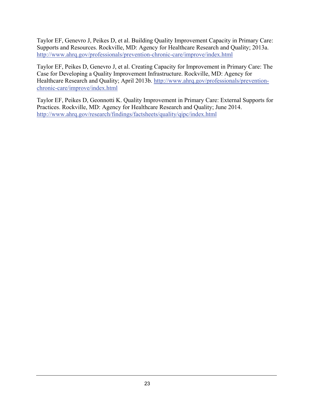Taylor EF, Genevro J, Peikes D, et al. Building Quality Improvement Capacity in Primary Care: Supports and Resources. Rockville, MD: Agency for Healthcare Research and Quality; 2013a. <http://www.ahrq.gov/professionals/prevention-chronic-care/improve/index.html>

Taylor EF, Peikes D, Genevro J, et al. Creating Capacity for Improvement in Primary Care: The Case for Developing a Quality Improvement Infrastructure. Rockville, MD: Agency for Healthcare Research and Quality; April 2013b. [http://www.ahrq.gov/professionals/prevention](http://www.ahrq.gov/professionals/prevention-chronic-care/improve/index.html)[chronic-care/improve/index.html](http://www.ahrq.gov/professionals/prevention-chronic-care/improve/index.html)

Taylor EF, Peikes D, Geonnotti K. Quality Improvement in Primary Care: External Supports for Practices. Rockville, MD: Agency for Healthcare Research and Quality; June 2014. <http://www.ahrq.gov/research/findings/factsheets/quality/qipc/index.html>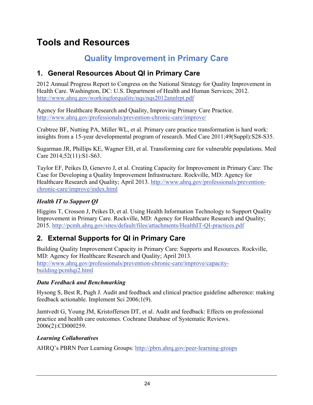# <span id="page-29-0"></span>**Tools and Resources**

# **Quality Improvement in Primary Care**

## <span id="page-29-2"></span><span id="page-29-1"></span>**1. General Resources About QI in Primary Care**

2012 Annual Progress Report to Congress on the National Strategy for Quality Improvement in Health Care. Washington, DC: U.S. Department of Health and Human Services; 2012. <http://www.ahrq.gov/workingforquality/nqs/nqs2012annlrpt.pdf>

Agency for Healthcare Research and Quality, Improving Primary Care Practice. <http://www.ahrq.gov/professionals/prevention-chronic-care/improve/>

Crabtree BF, Nutting PA, Miller WL, et al. Primary care practice transformation is hard work: insights from a 15-year developmental program of research. Med Care 2011;49(Suppl):S28-S35.

Sugarman JR, Phillips KE, Wagner EH, et al. Transforming care for vulnerable populations. Med Care 2014;52(11):S1-S63.

Taylor EF, Peikes D, Genevro J, et al. Creating Capacity for Improvement in Primary Care: The Case for Developing a Quality Improvement Infrastructure. Rockville, MD: Agency for Healthcare Research and Quality; April 2013. [http://www.ahrq.gov/professionals/prevention](http://www.ahrq.gov/professionals/prevention-chronic-care/improve/index.html)[chronic-care/improve/index.html](http://www.ahrq.gov/professionals/prevention-chronic-care/improve/index.html)

### *Health IT to Support QI*

Higgins T, Crosson J, Peikes D, et al. Using Health Information Technology to Support Quality Improvement in Primary Care. Rockville, MD: Agency for Healthcare Research and Quality; 2015.<http://pcmh.ahrq.gov/sites/default/files/attachments/HealthIT-QI-practices.pdf>

## <span id="page-29-3"></span>**2. External Supports for QI in Primary Care**

Building Quality Improvement Capacity in Primary Care: Supports and Resources. Rockville, MD: Agency for Healthcare Research and Quality; April 2013. [http://www.ahrq.gov/professionals/prevention-chronic-care/improve/capacity](http://www.ahrq.gov/professionals/prevention-chronic-care/improve/capacity-building/pcmhqi2.html)[building/pcmhqi2.html](http://www.ahrq.gov/professionals/prevention-chronic-care/improve/capacity-building/pcmhqi2.html)

### *Data Feedback and Benchmarking*

Hysong S, Best R, Pugh J. Audit and feedback and clinical practice guideline adherence: making feedback actionable. Implement Sci 2006;1(9).

Jamtvedt G, Young JM, Kristoffersen DT, et al. Audit and feedback: Effects on professional practice and health care outcomes. Cochrane Database of Systematic Reviews. 2006(2):CD000259.

### *Learning Collaboratives*

AHRQ's PBRN Peer Learning Groups:<http://pbrn.ahrq.gov/peer-learning-groups>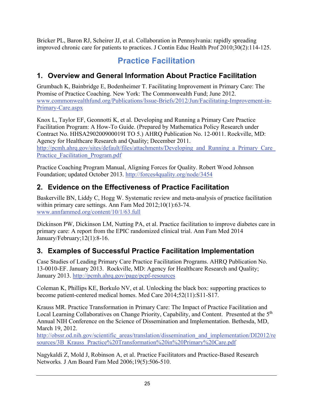Bricker PL, Baron RJ, Scheirer JJ, et al. Collaboration in Pennsylvania: rapidly spreading improved chronic care for patients to practices. J Contin Educ Health Prof 2010;30(2):114-125.

# **Practice Facilitation**

## <span id="page-30-1"></span><span id="page-30-0"></span>**1. Overview and General Information About Practice Facilitation**

Grumbach K, Bainbridge E, Bodenheimer T. Facilitating Improvement in Primary Care: The Promise of Practice Coaching. New York: The Commonwealth Fund; June 2012. [www.commonwealthfund.org/Publications/Issue-Briefs/2012/Jun/Facilitating-Improvement-in-](http://www.commonwealthfund.org/Publications/Issue-Briefs/2012/Jun/Facilitating-Improvement-in-Primary-Care.aspx)[Primary-Care.aspx](http://www.commonwealthfund.org/Publications/Issue-Briefs/2012/Jun/Facilitating-Improvement-in-Primary-Care.aspx)

Knox L, Taylor EF, Geonnotti K, et al. Developing and Running a Primary Care Practice Facilitation Program: A How-To Guide. (Prepared by Mathematica Policy Research under Contract No. HHSA290200900019I TO 5.) AHRQ Publication No. 12-0011. Rockville, MD: Agency for Healthcare Research and Quality; December 2011.

http://pcmh.ahrq.gov/sites/default/files/attachments/Developing and Running a Primary Care [Practice\\_Facilitation\\_Program.pdf](http://pcmh.ahrq.gov/sites/default/files/attachments/Developing_and_Running_a_Primary_Care_Practice_Facilitation_Program.pdf)

Practice Coaching Program Manual, Aligning Forces for Quality. Robert Wood Johnson Foundation; updated October 2013.<http://forces4quality.org/node/3454>

## <span id="page-30-2"></span>**2. Evidence on the Effectiveness of Practice Facilitation**

Baskerville BN, Liddy C, Hogg W. Systematic review and meta-analysis of practice facilitation within primary care settings. Ann Fam Med 2012;10(1):63-74. [www.annfammed.org/content/10/1/63.full](http://www.annfammed.org/content/10/1/63.full)

Dickinson PW, Dickinson LM, Nutting PA, et al. Practice facilitation to improve diabetes care in primary care: A report from the EPIC randomized clinical trial. Ann Fam Med 2014 January/February;12(1):8-16.

## <span id="page-30-3"></span>**3. Examples of Successful Practice Facilitation Implementation**

Case Studies of Leading Primary Care Practice Facilitation Programs. AHRQ Publication No. 13-0010-EF. January 2013. Rockville, MD: Agency for Healthcare Research and Quality; January 2013. <http://pcmh.ahrq.gov/page/pcpf-resources>

Coleman K, Phillips KE, Borkulo NV, et al. Unlocking the black box: supporting practices to become patient-centered medical homes. Med Care 2014;52(11):S11-S17.

Krauss MR. Practice Transformation in Primary Care: The Impact of Practice Facilitation and Local Learning Collaboratives on Change Priority, Capability, and Content. Presented at the 5<sup>th</sup> Annual NIH Conference on the Science of Dissemination and Implementation. Bethesda, MD, March 19, 2012.

[http://obssr.od.nih.gov/scientific\\_areas/translation/dissemination\\_and\\_implementation/DI2012/re](http://obssr.od.nih.gov/scientific_areas/translation/dissemination_and_implementation/DI2012/resources/3B_Krauss_Practice%20Transformation%20in%20Primary%20Care.pdf) [sources/3B\\_Krauss\\_Practice%20Transformation%20in%20Primary%20Care.pdf](http://obssr.od.nih.gov/scientific_areas/translation/dissemination_and_implementation/DI2012/resources/3B_Krauss_Practice%20Transformation%20in%20Primary%20Care.pdf)

Nagykaldi Z, Mold J, Robinson A, et al. Practice Facilitators and Practice-Based Research Networks*.* J Am Board Fam Med 2006;19(5):506-510.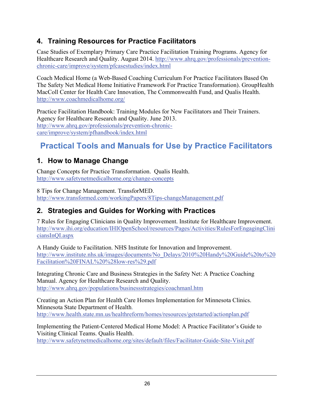## <span id="page-31-0"></span>**4. Training Resources for Practice Facilitators**

Case Studies of Exemplary Primary Care Practice Facilitation Training Programs. Agency for Healthcare Research and Quality. August 2014. [http://www.ahrq.gov/professionals/prevention](http://www.ahrq.gov/professionals/prevention-chronic-care/improve/system/pfcasestudies/index.html)[chronic-care/improve/system/pfcasestudies/index.html](http://www.ahrq.gov/professionals/prevention-chronic-care/improve/system/pfcasestudies/index.html)

Coach Medical Home (a Web-Based Coaching Curriculum For Practice Facilitators Based On The Safety Net Medical Home Initiative Framework For Practice Transformation). GroupHealth MacColl Center for Health Care Innovation, The Commonwealth Fund, and Qualis Health. <http://www.coachmedicalhome.org/>

Practice Facilitation Handbook: Training Modules for New Facilitators and Their Trainers. Agency for Healthcare Research and Quality. June 2013. [http://www.ahrq.gov/professionals/prevention-chronic](http://www.ahrq.gov/professionals/prevention-chronic-care/improve/system/pfhandbook/index.html)[care/improve/system/pfhandbook/index.html](http://www.ahrq.gov/professionals/prevention-chronic-care/improve/system/pfhandbook/index.html)

# <span id="page-31-1"></span>**Practical Tools and Manuals for Use by Practice Facilitators**

## <span id="page-31-2"></span>**1. How to Manage Change**

Change Concepts for Practice Transformation. Qualis Health. <http://www.safetynetmedicalhome.org/change-concepts>

8 Tips for Change Management. TransforMED. <http://www.transformed.com/workingPapers/8Tips-changeManagement.pdf>

# <span id="page-31-3"></span>**2. Strategies and Guides for Working with Practices**

7 Rules for Engaging Clinicians in Quality Improvement. Institute for Healthcare Improvement. [http://www.ihi.org/education/IHIOpenSchool/resources/Pages/Activities/RulesForEngagingClini](http://www.ihi.org/education/IHIOpenSchool/resources/Pages/Activities/RulesForEngagingCliniciansInQI.aspx) [ciansInQI.aspx](http://www.ihi.org/education/IHIOpenSchool/resources/Pages/Activities/RulesForEngagingCliniciansInQI.aspx)

A Handy Guide to Facilitation. NHS Institute for Innovation and Improvement. [http://www.institute.nhs.uk/images/documents/No\\_Delays/2010%20Handy%20Guide%20to%20](http://www.institute.nhs.uk/images/documents/No_Delays/2010%20Handy%20Guide%20to%20Facilitation%20FINAL%20%28low-res%29.pdf) [Facilitation%20FINAL%20%28low-res%29.pdf](http://www.institute.nhs.uk/images/documents/No_Delays/2010%20Handy%20Guide%20to%20Facilitation%20FINAL%20%28low-res%29.pdf)

Integrating Chronic Care and Business Strategies in the Safety Net: A Practice Coaching Manual. Agency for Healthcare Research and Quality. <http://www.ahrq.gov/populations/businessstrategies/coachmanl.htm>

Creating an Action Plan for Health Care Homes Implementation for Minnesota Clinics. Minnesota State Department of Health. <http://www.health.state.mn.us/healthreform/homes/resources/getstarted/actionplan.pdf>

Implementing the Patient-Centered Medical Home Model: A Practice Facilitator's Guide to Visiting Clinical Teams. Qualis Health. <http://www.safetynetmedicalhome.org/sites/default/files/Facilitator-Guide-Site-Visit.pdf>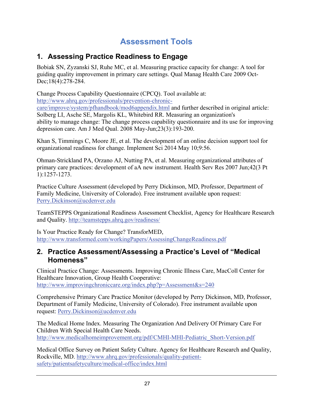# **Assessment Tools**

## <span id="page-32-1"></span><span id="page-32-0"></span>**1. Assessing Practice Readiness to Engage**

Bobiak SN, Zyzanski SJ, Ruhe MC, et al. Measuring practice capacity for change: A tool for guiding quality improvement in primary care settings. Qual Manag Health Care 2009 Oct-Dec;18(4):278-284.

Change Process Capability Questionnaire (CPCQ). Tool available at:

[http://www.ahrq.gov/professionals/prevention-chronic-](http://www.ahrq.gov/professionals/prevention-chronic-care/improve/system/pfhandbook/mod6appendix.html)

[care/improve/system/pfhandbook/mod6appendix.html](http://www.ahrq.gov/professionals/prevention-chronic-care/improve/system/pfhandbook/mod6appendix.html) and further described in original article: Solberg LI, Asche SE, Margolis KL, Whitebird RR. Measuring an organization's ability to manage change: The change process capability questionnaire and its use for improving depression care. Am J Med Qual. 2008 May-Jun;23(3):193-200.

Khan S, Timmings C, Moore JE, et al. The development of an online decision support tool for organizational readiness for change. Implement Sci 2014 May 10;9:56.

Ohman-Strickland PA, Orzano AJ, Nutting PA, et al. Measuring organizational attributes of primary care practices: development of aA new instrument. Health Serv Res 2007 Jun;42(3 Pt 1):1257-1273.

Practice Culture Assessment (developed by Perry Dickinson, MD, Professor, Department of Family Medicine, University of Colorado). Free instrument available upon request: [Perry.Dickinson@ucdenver.edu](mailto:Perry.Dickinson@ucdenver.edu)

TeamSTEPPS Organizational Readiness Assessment Checklist, Agency for Healthcare Research and Quality.<http://teamstepps.ahrq.gov/readiness/>

Is Your Practice Ready for Change? TransforMED, <http://www.transformed.com/workingPapers/AssessingChangeReadiness.pdf>

## <span id="page-32-2"></span>**2. Practice Assessment/Assessing a Practice's Level of "Medical Homeness"**

Clinical Practice Change: Assessments. Improving Chronic Illness Care, MacColl Center for Healthcare Innovation, Group Health Cooperative: <http://www.improvingchroniccare.org/index.php?p=Assessment&s=240>

Comprehensive Primary Care Practice Monitor (developed by Perry Dickinson, MD, Professor, Department of Family Medicine, University of Colorado). Free instrument available upon request: [Perry.Dickinson@ucdenver.edu](mailto:Perry.Dickinson@ucdenver.edu)

The Medical Home Index. Measuring The Organization And Delivery Of Primary Care For Children With Special Health Care Needs. [http://www.medicalhomeimprovement.org/pdf/CMHI-MHI-Pediatric\\_Short-Version.pdf](http://www.medicalhomeimprovement.org/pdf/CMHI-MHI-Pediatric_Short-Version.pdf)

Medical Office Survey on Patient Safety Culture. Agency for Healthcare Research and Quality, Rockville, MD. [http://www.ahrq.gov/professionals/quality-patient](http://www.ahrq.gov/professionals/quality-patient-safety/patientsafetyculture/medical-office/index.html)[safety/patientsafetyculture/medical-office/index.html](http://www.ahrq.gov/professionals/quality-patient-safety/patientsafetyculture/medical-office/index.html)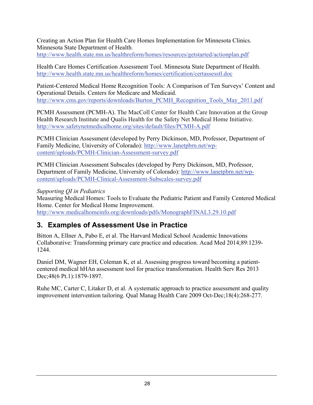Creating an Action Plan for Health Care Homes Implementation for Minnesota Clinics. Minnesota State Department of Health.

<http://www.health.state.mn.us/healthreform/homes/resources/getstarted/actionplan.pdf>

Health Care Homes Certification Assessment Tool. Minnesota State Department of Health. <http://www.health.state.mn.us/healthreform/homes/certification/certassesstl.doc>

Patient-Centered Medical Home Recognition Tools: A Comparison of Ten Surveys' Content and Operational Details. Centers for Medicare and Medicaid. [http://www.cms.gov/reports/downloads/Burton\\_PCMH\\_Recognition\\_Tools\\_May\\_2011.pdf](http://www.cms.gov/reports/downloads/Burton_PCMH_Recognition_Tools_May_2011.pdf)

PCMH Assessment (PCMH-A). The MacColl Center for Health Care Innovation at the Group Health Research Institute and Qualis Health for the Safety Net Medical Home Initiative. <http://www.safetynetmedicalhome.org/sites/default/files/PCMH-A.pdf>

PCMH Clinician Assessment (developed by Perry Dickinson, MD, Professor, Department of Family Medicine, University of Colorado): [http://www.lanetpbrn.net/wp](http://www.lanetpbrn.net/wp-content/uploads/PCMH-Clinician-Assessment-survey.pdf)[content/uploads/PCMH-Clinician-Assessment-survey.pdf](http://www.lanetpbrn.net/wp-content/uploads/PCMH-Clinician-Assessment-survey.pdf)

PCMH Clinician Assessment Subscales (developed by Perry Dickinson, MD, Professor, Department of Family Medicine, University of Colorado): [http://www.lanetpbrn.net/wp](http://www.lanetpbrn.net/wp-content/uploads/PCMH-Clinical-Assessment-Subscales-survey.pdf)[content/uploads/PCMH-Clinical-Assessment-Subscales-survey.pdf](http://www.lanetpbrn.net/wp-content/uploads/PCMH-Clinical-Assessment-Subscales-survey.pdf)

#### *Supporting QI in Pediatrics*

Measuring Medical Homes: Tools to Evaluate the Pediatric Patient and Family Centered Medical Home. Center for Medical Home Improvement. <http://www.medicalhomeinfo.org/downloads/pdfs/MonographFINAL3.29.10.pdf>

## <span id="page-33-0"></span>**3. Examples of Assessment Use in Practice**

Bitton A, Ellner A, Pabo E, et al. The Harvard Medical School Academic Innovations Collaborative: Transforming primary care practice and education. Acad Med 2014;89:1239- 1244.

Daniel DM, Wagner EH, Coleman K, et al. Assessing progress toward becoming a patientcentered medical hHAn assessment tool for practice transformation. Health Serv Res 2013 Dec; 48(6 Pt.1): 1879-1897.

Ruhe MC, Carter C, Litaker D, et al. A systematic approach to practice assessment and quality improvement intervention tailoring. Qual Manag Health Care 2009 Oct-Dec;18(4):268-277.